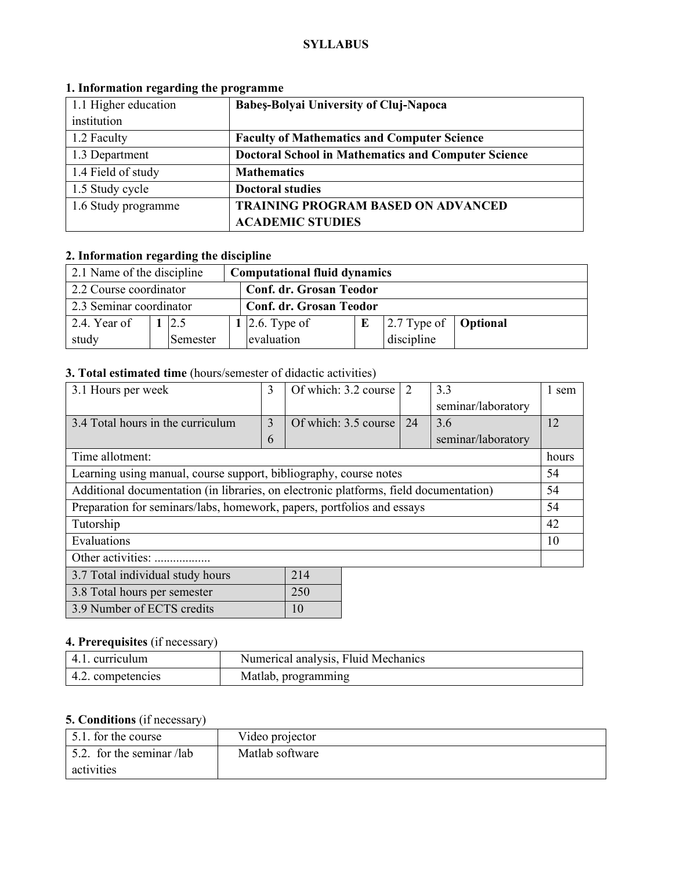#### **SYLLABUS**

| 1.1 Higher education | <b>Babes-Bolyai University of Cluj-Napoca</b>              |  |
|----------------------|------------------------------------------------------------|--|
| institution          |                                                            |  |
| 1.2 Faculty          | <b>Faculty of Mathematics and Computer Science</b>         |  |
| 1.3 Department       | <b>Doctoral School in Mathematics and Computer Science</b> |  |
| 1.4 Field of study   | <b>Mathematics</b>                                         |  |
| 1.5 Study cycle      | <b>Doctoral studies</b>                                    |  |
| 1.6 Study programme  | <b>TRAINING PROGRAM BASED ON ADVANCED</b>                  |  |
|                      | <b>ACADEMIC STUDIES</b>                                    |  |

## **1. Information regarding the programme**

# **2. Information regarding the discipline**

| 2.1 Name of the discipline<br><b>Computational fluid dynamics</b> |  |          |  |                                |  |                                             |  |
|-------------------------------------------------------------------|--|----------|--|--------------------------------|--|---------------------------------------------|--|
| 2.2 Course coordinator<br><b>Conf. dr. Grosan Teodor</b>          |  |          |  |                                |  |                                             |  |
| 2.3 Seminar coordinator                                           |  |          |  | <b>Conf. dr. Grosan Teodor</b> |  |                                             |  |
| 2.4. Year of                                                      |  | 12.5     |  | 1 2.6. Type of                 |  | $\vert$ 2.7 Type of $\vert$ <b>Optional</b> |  |
| study                                                             |  | Semester |  | evaluation                     |  | discipline                                  |  |

## **3. Total estimated time** (hours/semester of didactic activities)

| 3.1 Hours per week                                                                    | 3 | Of which: 3.2 course | 2  | 3.3                | 1 sem |
|---------------------------------------------------------------------------------------|---|----------------------|----|--------------------|-------|
|                                                                                       |   |                      |    | seminar/laboratory |       |
| 3.4 Total hours in the curriculum                                                     | 3 | Of which: 3.5 course | 24 | 3.6                | 12    |
|                                                                                       | 6 |                      |    | seminar/laboratory |       |
| Time allotment:                                                                       |   |                      |    |                    | hours |
| Learning using manual, course support, bibliography, course notes                     |   |                      |    |                    | 54    |
| Additional documentation (in libraries, on electronic platforms, field documentation) |   |                      |    |                    | 54    |
| Preparation for seminars/labs, homework, papers, portfolios and essays                |   |                      |    |                    | 54    |
| Tutorship                                                                             |   |                      |    |                    | 42    |
| Evaluations                                                                           |   |                      |    |                    | 10    |
| Other activities:                                                                     |   |                      |    |                    |       |
| 3.7 Total individual study hours                                                      |   | 214                  |    |                    |       |

|                              | ---             |
|------------------------------|-----------------|
| 3.8 Total hours per semester | 250             |
| 3.9 Number of ECTS credits   | $\overline{10}$ |

### **4. Prerequisites** (if necessary)

| 4.1. curriculum   | Numerical analysis, Fluid Mechanics |
|-------------------|-------------------------------------|
| 4.2. competencies | Matlab, programming                 |

## **5. Conditions** (if necessary)

| 5.1. for the course               | Video projector |
|-----------------------------------|-----------------|
| $\vert$ 5.2. for the seminar /lab | Matlab software |
| activities                        |                 |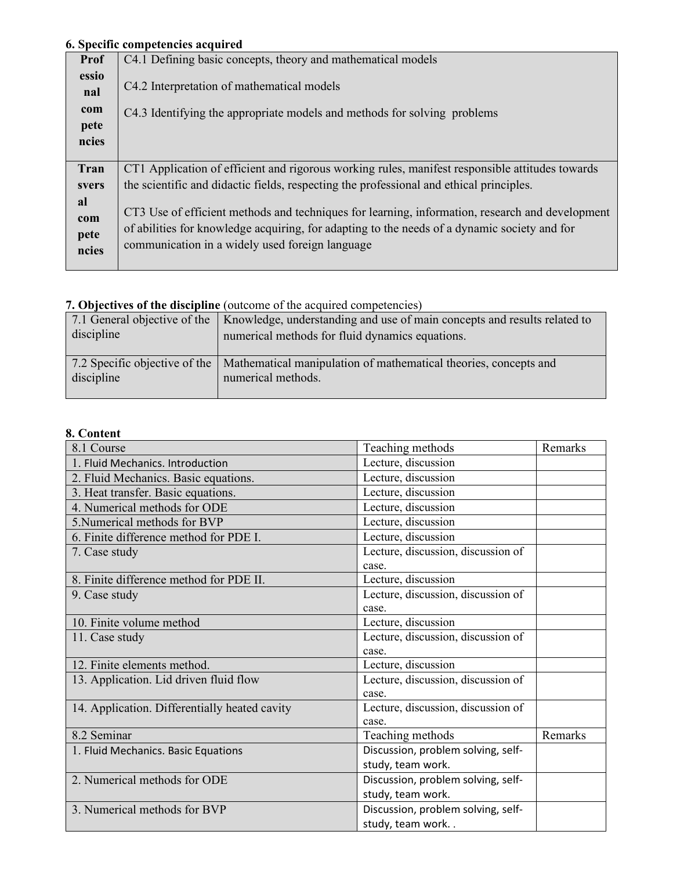# **6. Specific competencies acquired**

|              | о. эрссик сошрексиску асquu са                                                                  |
|--------------|-------------------------------------------------------------------------------------------------|
| <b>Prof</b>  | C4.1 Defining basic concepts, theory and mathematical models                                    |
| essio<br>nal | C4.2 Interpretation of mathematical models                                                      |
| com          | C4.3 Identifying the appropriate models and methods for solving problems                        |
| pete         |                                                                                                 |
| ncies        |                                                                                                 |
|              |                                                                                                 |
| Tran         | CT1 Application of efficient and rigorous working rules, manifest responsible attitudes towards |
| svers        | the scientific and didactic fields, respecting the professional and ethical principles.         |
| al           |                                                                                                 |
| com          | CT3 Use of efficient methods and techniques for learning, information, research and development |
| pete         | of abilities for knowledge acquiring, for adapting to the needs of a dynamic society and for    |
| ncies        | communication in a widely used foreign language                                                 |
|              |                                                                                                 |

## **7. Objectives of the discipline** (outcome of the acquired competencies)

| discipline | 7.1 General objective of the   Knowledge, understanding and use of main concepts and results related to<br>numerical methods for fluid dynamics equations. |
|------------|------------------------------------------------------------------------------------------------------------------------------------------------------------|
| discipline | 7.2 Specific objective of the   Mathematical manipulation of mathematical theories, concepts and<br>numerical methods.                                     |

### **8. Content**

| 8.1 Course                                    | Teaching methods                            | Remarks |
|-----------------------------------------------|---------------------------------------------|---------|
| 1. Fluid Mechanics. Introduction              | Lecture, discussion                         |         |
| 2. Fluid Mechanics. Basic equations.          | Lecture, discussion                         |         |
| 3. Heat transfer. Basic equations.            | Lecture, discussion                         |         |
| 4. Numerical methods for ODE                  | Lecture, discussion                         |         |
| 5. Numerical methods for BVP                  | Lecture, discussion                         |         |
| 6. Finite difference method for PDE I.        | Lecture, discussion                         |         |
| 7. Case study                                 | Lecture, discussion, discussion of<br>case. |         |
| 8. Finite difference method for PDE II.       | Lecture, discussion                         |         |
| 9. Case study                                 | Lecture, discussion, discussion of          |         |
|                                               | case.                                       |         |
| 10. Finite volume method                      | Lecture, discussion                         |         |
| 11. Case study                                | Lecture, discussion, discussion of          |         |
|                                               | case.                                       |         |
| 12. Finite elements method.                   | Lecture, discussion                         |         |
| 13. Application. Lid driven fluid flow        | Lecture, discussion, discussion of          |         |
|                                               | case.                                       |         |
| 14. Application. Differentially heated cavity | Lecture, discussion, discussion of          |         |
|                                               | case.                                       |         |
| 8.2 Seminar                                   | Teaching methods                            | Remarks |
| 1. Fluid Mechanics. Basic Equations           | Discussion, problem solving, self-          |         |
|                                               | study, team work.                           |         |
| 2. Numerical methods for ODE                  | Discussion, problem solving, self-          |         |
|                                               | study, team work.                           |         |
| 3. Numerical methods for BVP                  | Discussion, problem solving, self-          |         |
|                                               | study, team work                            |         |